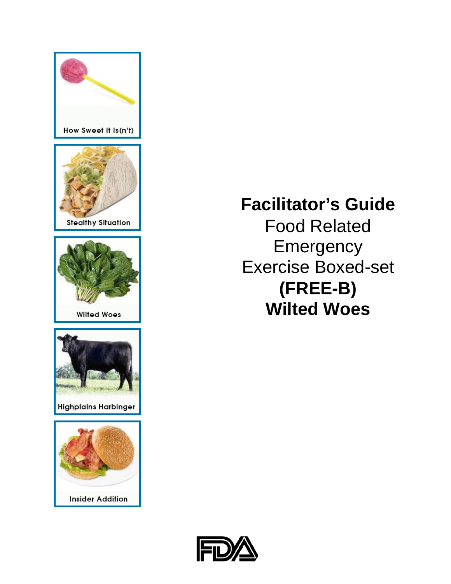

Food Related **Emergency** Exercise Boxed-set **(FREE-B) Wilted Woes**

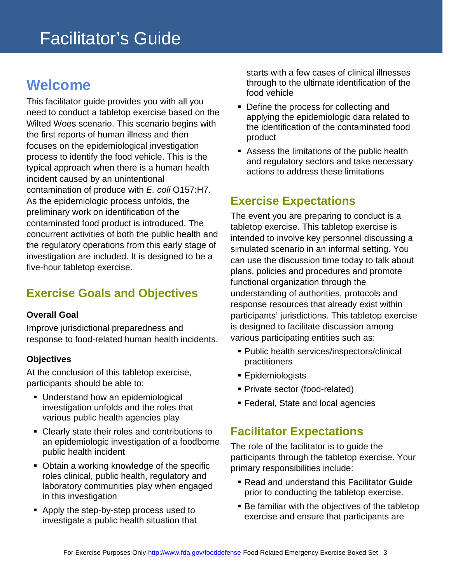### <span id="page-2-0"></span>**Welcome**

This facilitator guide provides you with all you need to conduct a tabletop exercise based on the Wilted Woes scenario. This scenario begins with the first reports of human illness and then focuses on the epidemiological investigation process to identify the food vehicle. This is the typical approach when there is a human health incident caused by an unintentional contamination of produce with *E. coli* O157:H7. As the epidemiologic process unfolds, the preliminary work on identification of the contaminated food product is introduced. The concurrent activities of both the public health and the regulatory operations from this early stage of investigation are included. It is designed to be a five-hour tabletop exercise.

### <span id="page-2-1"></span>**Exercise Goals and Objectives**

#### **Overall Goal**

Improve jurisdictional preparedness and response to food-related human health incidents.

#### **Objectives**

At the conclusion of this tabletop exercise, participants should be able to:

- **Understand how an epidemiological** investigation unfolds and the roles that various public health agencies play
- Clearly state their roles and contributions to an epidemiologic investigation of a foodborne public health incident
- Obtain a working knowledge of the specific roles clinical, public health, regulatory and laboratory communities play when engaged in this investigation
- Apply the step-by-step process used to investigate a public health situation that

starts with a few cases of clinical illnesses through to the ultimate identification of the food vehicle

- Define the process for collecting and applying the epidemiologic data related to the identification of the contaminated food product
- Assess the limitations of the public health and regulatory sectors and take necessary actions to address these limitations

### <span id="page-2-2"></span>**Exercise Expectations**

The event you are preparing to conduct is a tabletop exercise. This tabletop exercise is intended to involve key personnel discussing a simulated scenario in an informal setting. You can use the discussion time today to talk about plans, policies and procedures and promote functional organization through the understanding of authorities, protocols and response resources that already exist within participants' jurisdictions. This tabletop exercise is designed to facilitate discussion among various participating entities such as:

- Public health services/inspectors/clinical practitioners
- **Epidemiologists**
- Private sector (food-related)
- Federal, State and local agencies

#### <span id="page-2-3"></span>**Facilitator Expectations**

The role of the facilitator is to guide the participants through the tabletop exercise. Your primary responsibilities include:

- Read and understand this Facilitator Guide prior to conducting the tabletop exercise.
- Be familiar with the objectives of the tabletop exercise and ensure that participants are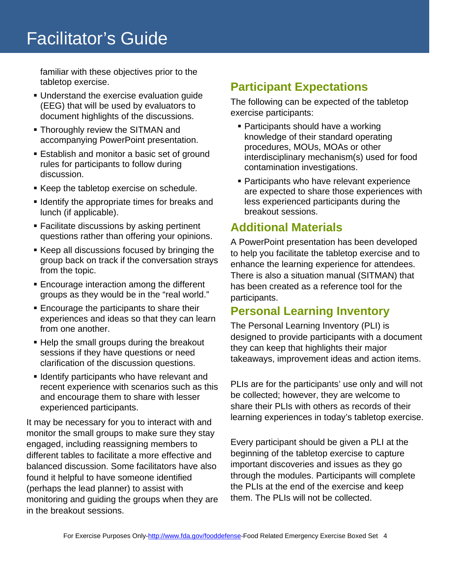familiar with these objectives prior to the tabletop exercise.

- Understand the exercise evaluation guide (EEG) that will be used by evaluators to document highlights of the discussions.
- Thoroughly review the SITMAN and accompanying PowerPoint presentation.
- **Establish and monitor a basic set of ground** rules for participants to follow during discussion.
- Keep the tabletop exercise on schedule.
- **If I dentify the appropriate times for breaks and** lunch (if applicable).
- **Facilitate discussions by asking pertinent** questions rather than offering your opinions.
- Keep all discussions focused by bringing the group back on track if the conversation strays from the topic.
- **Encourage interaction among the different** groups as they would be in the "real world."
- **Encourage the participants to share their** experiences and ideas so that they can learn from one another.
- Help the small groups during the breakout sessions if they have questions or need clarification of the discussion questions.
- **I** Identify participants who have relevant and recent experience with scenarios such as this and encourage them to share with lesser experienced participants.

It may be necessary for you to interact with and monitor the small groups to make sure they stay engaged, including reassigning members to different tables to facilitate a more effective and balanced discussion. Some facilitators have also found it helpful to have someone identified (perhaps the lead planner) to assist with monitoring and guiding the groups when they are in the breakout sessions.

### <span id="page-3-0"></span>**Participant Expectations**

The following can be expected of the tabletop exercise participants:

- Participants should have a working knowledge of their standard operating procedures, MOUs, MOAs or other interdisciplinary mechanism(s) used for food contamination investigations.
- Participants who have relevant experience are expected to share those experiences with less experienced participants during the breakout sessions.

#### <span id="page-3-1"></span>**Additional Materials**

A PowerPoint presentation has been developed to help you facilitate the tabletop exercise and to enhance the learning experience for attendees. There is also a situation manual (SITMAN) that has been created as a reference tool for the participants.

### <span id="page-3-2"></span>**Personal Learning Inventory**

The Personal Learning Inventory (PLI) is designed to provide participants with a document they can keep that highlights their major takeaways, improvement ideas and action items.

PLIs are for the participants' use only and will not be collected; however, they are welcome to share their PLIs with others as records of their learning experiences in today's tabletop exercise.

Every participant should be given a PLI at the beginning of the tabletop exercise to capture important discoveries and issues as they go through the modules. Participants will complete the PLIs at the end of the exercise and keep them. The PLIs will not be collected.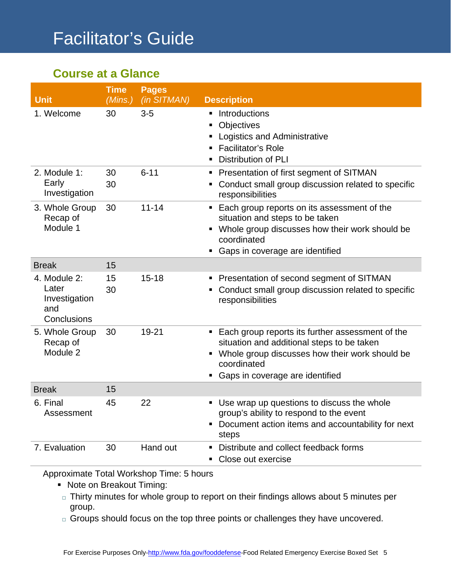### **Course at a Glance**

| <b>Unit</b>                                                  | <b>Time</b><br>(Mins.) | <b>Pages</b><br>(in SITMAN) | <b>Description</b>                                                                                                                                                                                     |
|--------------------------------------------------------------|------------------------|-----------------------------|--------------------------------------------------------------------------------------------------------------------------------------------------------------------------------------------------------|
| 1. Welcome                                                   | 30                     | $3-5$                       | Introductions<br>п<br>Objectives<br>٠<br>Logistics and Administrative<br>٠<br><b>Facilitator's Role</b><br><b>Distribution of PLI</b>                                                                  |
| 2. Module 1:<br>Early<br>Investigation                       | 30<br>30               | $6 - 11$                    | Presentation of first segment of SITMAN<br>٠<br>Conduct small group discussion related to specific<br>responsibilities                                                                                 |
| 3. Whole Group<br>Recap of<br>Module 1                       | 30                     | $11 - 14$                   | • Each group reports on its assessment of the<br>situation and steps to be taken<br>• Whole group discusses how their work should be<br>coordinated<br>Gaps in coverage are identified                 |
| <b>Break</b>                                                 | 15                     |                             |                                                                                                                                                                                                        |
| 4. Module 2:<br>Later<br>Investigation<br>and<br>Conclusions | 15<br>30               | $15 - 18$                   | Presentation of second segment of SITMAN<br>ш<br>• Conduct small group discussion related to specific<br>responsibilities                                                                              |
| 5. Whole Group<br>Recap of<br>Module 2                       | 30                     | $19 - 21$                   | ■ Each group reports its further assessment of the<br>situation and additional steps to be taken<br>• Whole group discusses how their work should be<br>coordinated<br>Gaps in coverage are identified |
| <b>Break</b>                                                 | 15                     |                             |                                                                                                                                                                                                        |
| 6. Final<br>Assessment                                       | 45                     | 22                          | • Use wrap up questions to discuss the whole<br>group's ability to respond to the event<br>• Document action items and accountability for next<br>steps                                                |
| 7. Evaluation                                                | 30                     | Hand out                    | Distribute and collect feedback forms<br>Close out exercise<br>٠                                                                                                                                       |

Approximate Total Workshop Time: 5 hours

- Note on Breakout Timing:
- $\Box$  Thirty minutes for whole group to report on their findings allows about 5 minutes per group.
- $\Box$  Groups should focus on the top three points or challenges they have uncovered.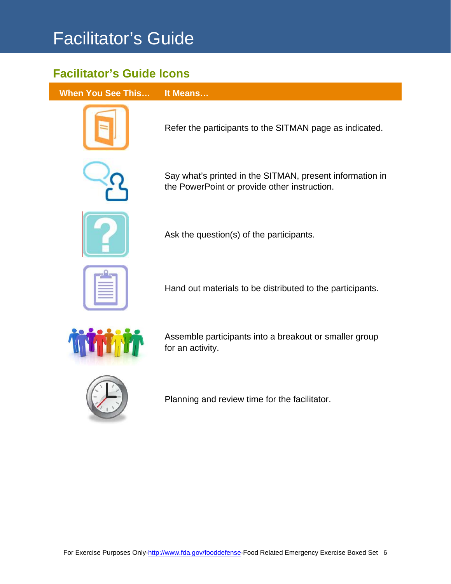### **Facilitator's Guide Icons**

**When You See This… It Means…**



Refer the participants to the SITMAN page as indicated.



Say what's printed in the SITMAN, present information in the PowerPoint or provide other instruction.



Ask the question(s) of the participants.



Hand out materials to be distributed to the participants.



Assemble participants into a breakout or smaller group for an activity.



Planning and review time for the facilitator.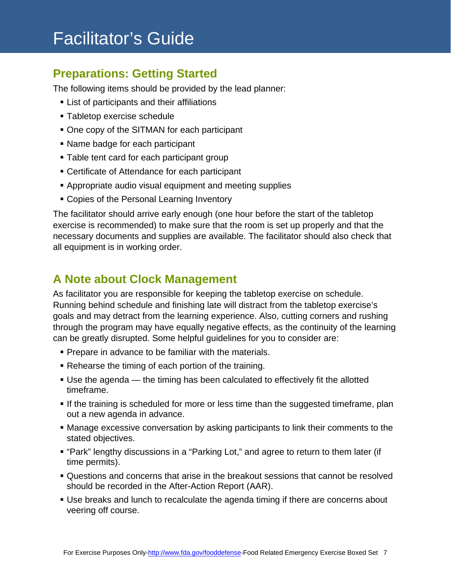#### <span id="page-6-0"></span>**Preparations: Getting Started**

The following items should be provided by the lead planner:

- **List of participants and their affiliations**
- Tabletop exercise schedule
- One copy of the SITMAN for each participant
- Name badge for each participant
- **Table tent card for each participant group**
- Certificate of Attendance for each participant
- Appropriate audio visual equipment and meeting supplies
- Copies of the Personal Learning Inventory

The facilitator should arrive early enough (one hour before the start of the tabletop exercise is recommended) to make sure that the room is set up properly and that the necessary documents and supplies are available. The facilitator should also check that all equipment is in working order.

#### <span id="page-6-1"></span>**A Note about Clock Management**

As facilitator you are responsible for keeping the tabletop exercise on schedule. Running behind schedule and finishing late will distract from the tabletop exercise's goals and may detract from the learning experience. Also, cutting corners and rushing through the program may have equally negative effects, as the continuity of the learning can be greatly disrupted. Some helpful guidelines for you to consider are:

- **Prepare in advance to be familiar with the materials.**
- Rehearse the timing of each portion of the training.
- Use the agenda the timing has been calculated to effectively fit the allotted timeframe.
- If the training is scheduled for more or less time than the suggested timeframe, plan out a new agenda in advance.
- Manage excessive conversation by asking participants to link their comments to the stated objectives.
- "Park" lengthy discussions in a "Parking Lot," and agree to return to them later (if time permits).
- Questions and concerns that arise in the breakout sessions that cannot be resolved should be recorded in the After-Action Report (AAR).
- Use breaks and lunch to recalculate the agenda timing if there are concerns about veering off course.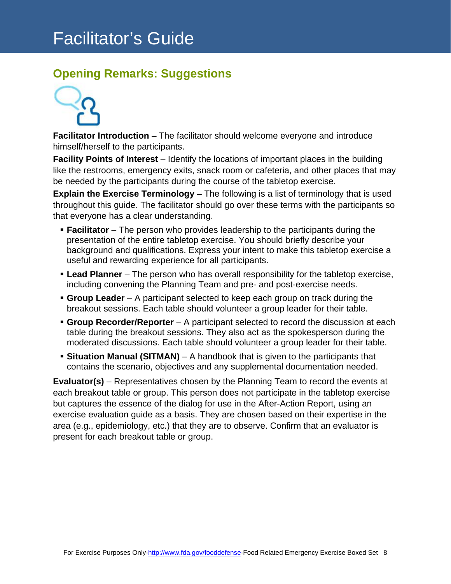### <span id="page-7-0"></span>**Opening Remarks: Suggestions**



**Facilitator Introduction** – The facilitator should welcome everyone and introduce himself/herself to the participants.

**Facility Points of Interest** – Identify the locations of important places in the building like the restrooms, emergency exits, snack room or cafeteria, and other places that may be needed by the participants during the course of the tabletop exercise.

**Explain the Exercise Terminology** – The following is a list of terminology that is used throughout this guide. The facilitator should go over these terms with the participants so that everyone has a clear understanding.

- **Facilitator** The person who provides leadership to the participants during the presentation of the entire tabletop exercise. You should briefly describe your background and qualifications. Express your intent to make this tabletop exercise a useful and rewarding experience for all participants.
- **Lead Planner** The person who has overall responsibility for the tabletop exercise, including convening the Planning Team and pre- and post-exercise needs.
- **Group Leader** A participant selected to keep each group on track during the breakout sessions. Each table should volunteer a group leader for their table.
- **Group Recorder/Reporter**  A participant selected to record the discussion at each table during the breakout sessions. They also act as the spokesperson during the moderated discussions. Each table should volunteer a group leader for their table.
- **Situation Manual (SITMAN)** A handbook that is given to the participants that contains the scenario, objectives and any supplemental documentation needed.

**Evaluator(s)** – Representatives chosen by the Planning Team to record the events at each breakout table or group. This person does not participate in the tabletop exercise but captures the essence of the dialog for use in the After-Action Report, using an exercise evaluation guide as a basis. They are chosen based on their expertise in the area (e.g., epidemiology, etc.) that they are to observe. Confirm that an evaluator is present for each breakout table or group.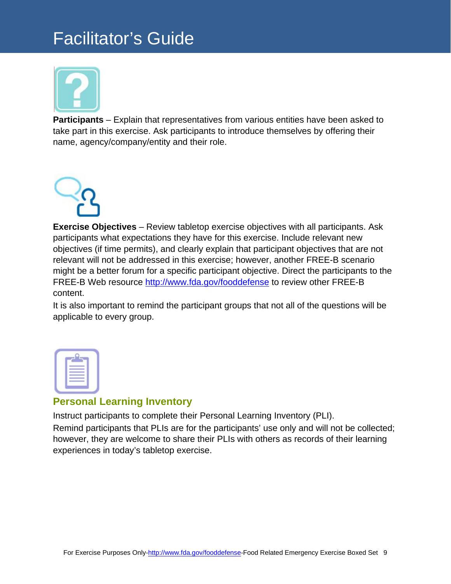

**Participants** – Explain that representatives from various entities have been asked to take part in this exercise. Ask participants to introduce themselves by offering their name, agency/company/entity and their role.



**Exercise Objectives** – Review tabletop exercise objectives with all participants. Ask participants what expectations they have for this exercise. Include relevant new objectives (if time permits), and clearly explain that participant objectives that are not relevant will not be addressed in this exercise; however, another FREE-B scenario might be a better forum for a specific participant objective. Direct the participants to the FREE-B Web resource<http://www.fda.gov/fooddefense> to review other FREE-B content.

It is also important to remind the participant groups that not all of the questions will be applicable to every group.

| $\sim$<br>۰ |  |
|-------------|--|
|             |  |
|             |  |
|             |  |
|             |  |

#### <span id="page-8-0"></span>**Personal Learning Inventory**

Instruct participants to complete their Personal Learning Inventory (PLI). Remind participants that PLIs are for the participants' use only and will not be collected; however, they are welcome to share their PLIs with others as records of their learning experiences in today's tabletop exercise.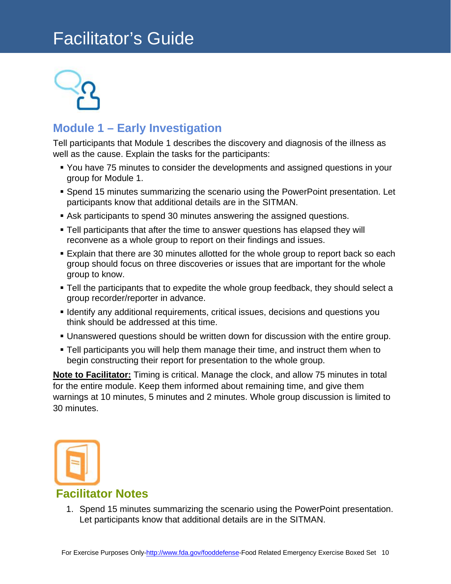

### <span id="page-9-0"></span>**Module 1 – Early Investigation**

Tell participants that Module 1 describes the discovery and diagnosis of the illness as well as the cause. Explain the tasks for the participants:

- You have 75 minutes to consider the developments and assigned questions in your group for Module 1.
- Spend 15 minutes summarizing the scenario using the PowerPoint presentation. Let participants know that additional details are in the SITMAN.
- Ask participants to spend 30 minutes answering the assigned questions.
- Tell participants that after the time to answer questions has elapsed they will reconvene as a whole group to report on their findings and issues.
- Explain that there are 30 minutes allotted for the whole group to report back so each group should focus on three discoveries or issues that are important for the whole group to know.
- **Tell the participants that to expedite the whole group feedback, they should select a** group recorder/reporter in advance.
- **I** Identify any additional requirements, critical issues, decisions and questions you think should be addressed at this time.
- Unanswered questions should be written down for discussion with the entire group.
- Tell participants you will help them manage their time, and instruct them when to begin constructing their report for presentation to the whole group.

**Note to Facilitator:** Timing is critical. Manage the clock, and allow 75 minutes in total for the entire module. Keep them informed about remaining time, and give them warnings at 10 minutes, 5 minutes and 2 minutes. Whole group discussion is limited to 30 minutes.



<span id="page-9-1"></span>1. Spend 15 minutes summarizing the scenario using the PowerPoint presentation. Let participants know that additional details are in the SITMAN.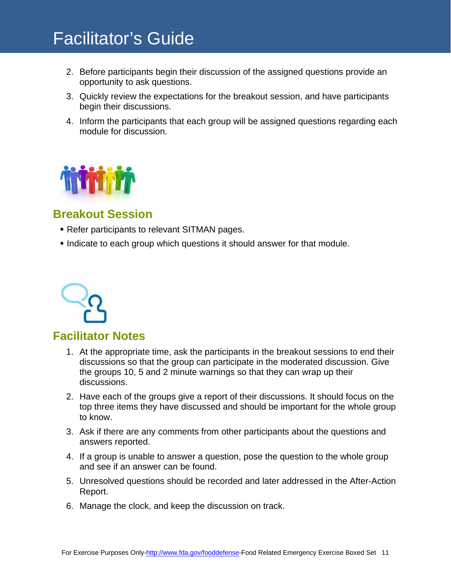- 2. Before participants begin their discussion of the assigned questions provide an opportunity to ask questions.
- 3. Quickly review the expectations for the breakout session, and have participants begin their discussions.
- 4. Inform the participants that each group will be assigned questions regarding each module for discussion.



### <span id="page-10-0"></span>**Breakout Session**

- Refer participants to relevant SITMAN pages.
- Indicate to each group which questions it should answer for that module.



#### <span id="page-10-1"></span>**Facilitator Notes**

- 1. At the appropriate time, ask the participants in the breakout sessions to end their discussions so that the group can participate in the moderated discussion. Give the groups 10, 5 and 2 minute warnings so that they can wrap up their discussions.
- 2. Have each of the groups give a report of their discussions. It should focus on the top three items they have discussed and should be important for the whole group to know.
- 3. Ask if there are any comments from other participants about the questions and answers reported.
- 4. If a group is unable to answer a question, pose the question to the whole group and see if an answer can be found.
- 5. Unresolved questions should be recorded and later addressed in the After-Action Report.
- 6. Manage the clock, and keep the discussion on track.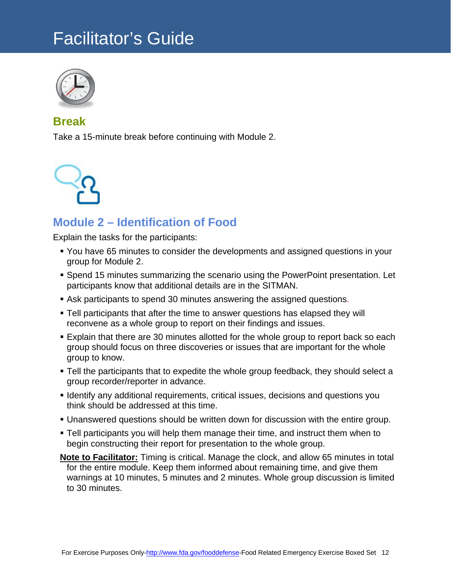

#### **Break**

Take a 15-minute break before continuing with Module 2.



### <span id="page-11-0"></span>**Module 2 – Identification of Food**

Explain the tasks for the participants:

- You have 65 minutes to consider the developments and assigned questions in your group for Module 2.
- Spend 15 minutes summarizing the scenario using the PowerPoint presentation. Let participants know that additional details are in the SITMAN.
- Ask participants to spend 30 minutes answering the assigned questions.
- Tell participants that after the time to answer questions has elapsed they will reconvene as a whole group to report on their findings and issues.
- Explain that there are 30 minutes allotted for the whole group to report back so each group should focus on three discoveries or issues that are important for the whole group to know.
- Tell the participants that to expedite the whole group feedback, they should select a group recorder/reporter in advance.
- **I** Identify any additional requirements, critical issues, decisions and questions you think should be addressed at this time.
- Unanswered questions should be written down for discussion with the entire group.
- Tell participants you will help them manage their time, and instruct them when to begin constructing their report for presentation to the whole group.
- **Note to Facilitator:** Timing is critical. Manage the clock, and allow 65 minutes in total for the entire module. Keep them informed about remaining time, and give them warnings at 10 minutes, 5 minutes and 2 minutes. Whole group discussion is limited to 30 minutes.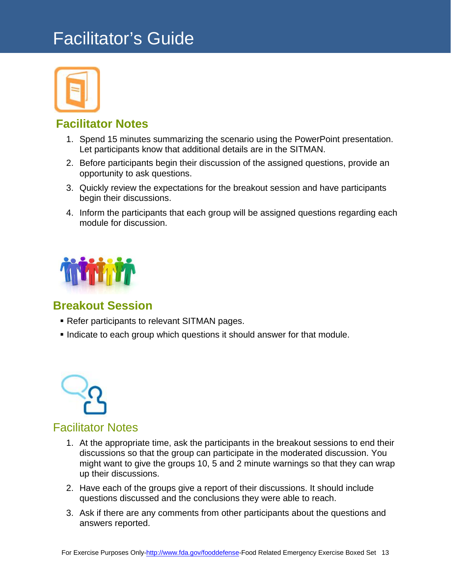

#### <span id="page-12-0"></span>**Facilitator Notes**

- 1. Spend 15 minutes summarizing the scenario using the PowerPoint presentation. Let participants know that additional details are in the SITMAN.
- 2. Before participants begin their discussion of the assigned questions, provide an opportunity to ask questions.
- 3. Quickly review the expectations for the breakout session and have participants begin their discussions.
- 4. Inform the participants that each group will be assigned questions regarding each module for discussion.



#### <span id="page-12-1"></span>**Breakout Session**

- **Refer participants to relevant SITMAN pages.**
- Indicate to each group which questions it should answer for that module.



#### <span id="page-12-2"></span>Facilitator Notes

- 1. At the appropriate time, ask the participants in the breakout sessions to end their discussions so that the group can participate in the moderated discussion. You might want to give the groups 10, 5 and 2 minute warnings so that they can wrap up their discussions.
- 2. Have each of the groups give a report of their discussions. It should include questions discussed and the conclusions they were able to reach.
- 3. Ask if there are any comments from other participants about the questions and answers reported.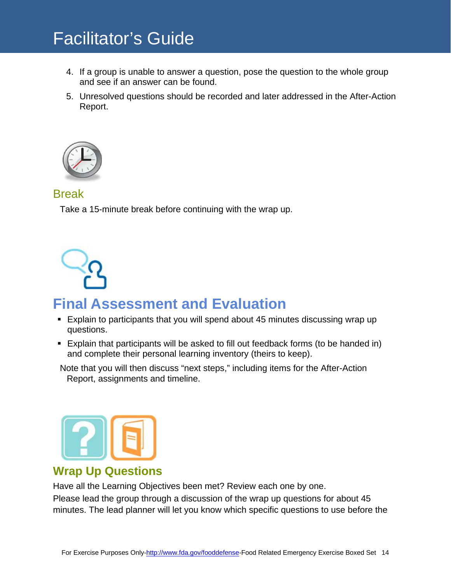- 4. If a group is unable to answer a question, pose the question to the whole group and see if an answer can be found.
- 5. Unresolved questions should be recorded and later addressed in the After-Action Report.



#### Break

Take a 15-minute break before continuing with the wrap up.



### <span id="page-13-0"></span>**Final Assessment and Evaluation**

- Explain to participants that you will spend about 45 minutes discussing wrap up questions.
- Explain that participants will be asked to fill out feedback forms (to be handed in) and complete their personal learning inventory (theirs to keep).

Note that you will then discuss "next steps," including items for the After-Action Report, assignments and timeline.



#### <span id="page-13-1"></span>**Wrap Up Questions**

Have all the Learning Objectives been met? Review each one by one. Please lead the group through a discussion of the wrap up questions for about 45 minutes. The lead planner will let you know which specific questions to use before the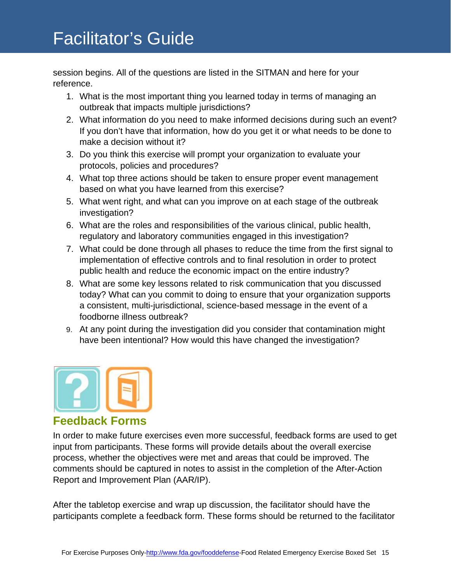session begins. All of the questions are listed in the SITMAN and here for your reference.

- 1. What is the most important thing you learned today in terms of managing an outbreak that impacts multiple jurisdictions?
- 2. What information do you need to make informed decisions during such an event? If you don't have that information, how do you get it or what needs to be done to make a decision without it?
- 3. Do you think this exercise will prompt your organization to evaluate your protocols, policies and procedures?
- 4. What top three actions should be taken to ensure proper event management based on what you have learned from this exercise?
- 5. What went right, and what can you improve on at each stage of the outbreak investigation?
- 6. What are the roles and responsibilities of the various clinical, public health, regulatory and laboratory communities engaged in this investigation?
- 7. What could be done through all phases to reduce the time from the first signal to implementation of effective controls and to final resolution in order to protect public health and reduce the economic impact on the entire industry?
- 8. What are some key lessons related to risk communication that you discussed today? What can you commit to doing to ensure that your organization supports a consistent, multi-jurisdictional, science-based message in the event of a foodborne illness outbreak?
- 9. At any point during the investigation did you consider that contamination might have been intentional? How would this have changed the investigation?



#### <span id="page-14-0"></span>**Feedback Forms**

In order to make future exercises even more successful, feedback forms are used to get input from participants. These forms will provide details about the overall exercise process, whether the objectives were met and areas that could be improved. The comments should be captured in notes to assist in the completion of the After-Action Report and Improvement Plan (AAR/IP).

After the tabletop exercise and wrap up discussion, the facilitator should have the participants complete a feedback form. These forms should be returned to the facilitator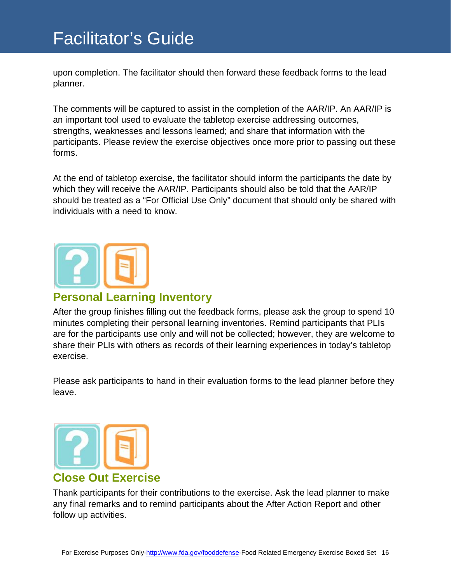upon completion. The facilitator should then forward these feedback forms to the lead planner.

The comments will be captured to assist in the completion of the AAR/IP. An AAR/IP is an important tool used to evaluate the tabletop exercise addressing outcomes, strengths, weaknesses and lessons learned; and share that information with the participants. Please review the exercise objectives once more prior to passing out these forms.

At the end of tabletop exercise, the facilitator should inform the participants the date by which they will receive the AAR/IP. Participants should also be told that the AAR/IP should be treated as a "For Official Use Only" document that should only be shared with individuals with a need to know.



#### <span id="page-15-0"></span>**Personal Learning Inventory**

After the group finishes filling out the feedback forms, please ask the group to spend 10 minutes completing their personal learning inventories. Remind participants that PLIs are for the participants use only and will not be collected; however, they are welcome to share their PLIs with others as records of their learning experiences in today's tabletop exercise.

Please ask participants to hand in their evaluation forms to the lead planner before they leave.



#### <span id="page-15-1"></span>Thank participants for their contributions to the exercise. Ask the lead planner to make any final remarks and to remind participants about the After Action Report and other follow up activities.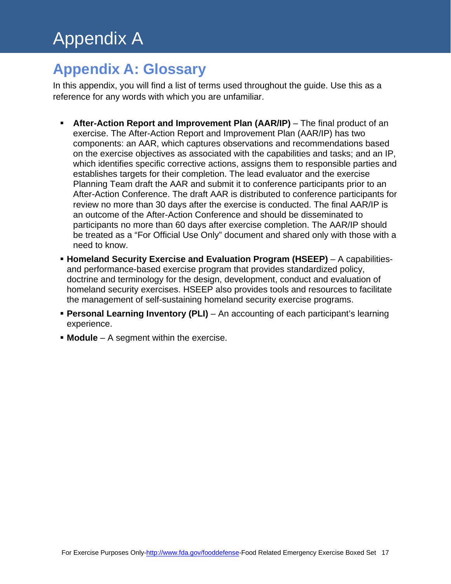### **Appendix A: Glossary**

In this appendix, you will find a list of terms used throughout the guide. Use this as a reference for any words with which you are unfamiliar.

- **After-Action Report and Improvement Plan (AAR/IP)** The final product of an exercise. The After-Action Report and Improvement Plan (AAR/IP) has two components: an AAR, which captures observations and recommendations based on the exercise objectives as associated with the capabilities and tasks; and an IP, which identifies specific corrective actions, assigns them to responsible parties and establishes targets for their completion. The lead evaluator and the exercise Planning Team draft the AAR and submit it to conference participants prior to an After-Action Conference. The draft AAR is distributed to conference participants for review no more than 30 days after the exercise is conducted. The final AAR/IP is an outcome of the After-Action Conference and should be disseminated to participants no more than 60 days after exercise completion. The AAR/IP should be treated as a "For Official Use Only" document and shared only with those with a need to know.
- **Homeland Security Exercise and Evaluation Program (HSEEP)** A capabilitiesand performance-based exercise program that provides standardized policy, doctrine and terminology for the design, development, conduct and evaluation of homeland security exercises. HSEEP also provides tools and resources to facilitate the management of self-sustaining homeland security exercise programs.
- **Personal Learning Inventory (PLI)** An accounting of each participant's learning experience.
- **Module** A segment within the exercise.